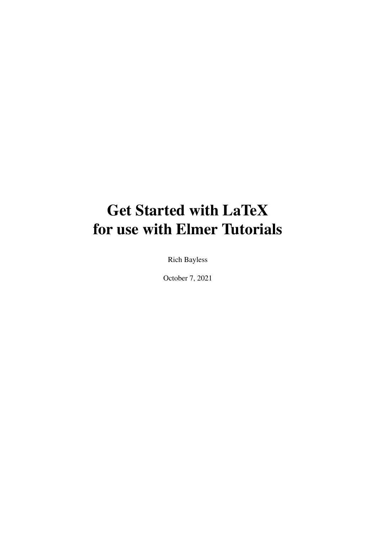# Get Started with LaTeX for use with Elmer Tutorials

Rich Bayless

October 7, 2021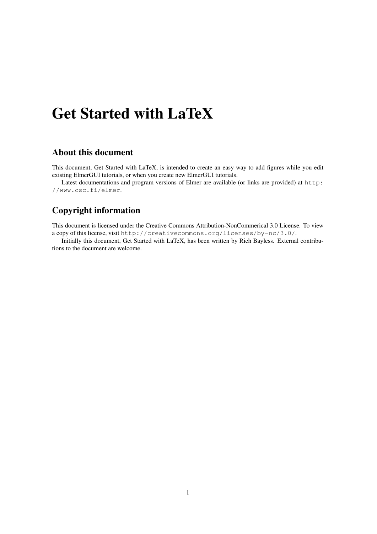# Get Started with LaTeX

## About this document

This document, Get Started with LaTeX, is intended to create an easy way to add figures while you edit existing ElmerGUI tutorials, or when you create new ElmerGUI tutorials.

Latest documentations and program versions of Elmer are available (or links are provided) at [http:](http://www.csc.fi/elmer) [//www.csc.fi/elmer](http://www.csc.fi/elmer).

## Copyright information

This document is licensed under the Creative Commons Attribution-NonCommerical 3.0 License. To view a copy of this license, visit <http://creativecommons.org/licenses/by-nc/3.0/>.

Initially this document, Get Started with LaTeX, has been written by Rich Bayless. External contributions to the document are welcome.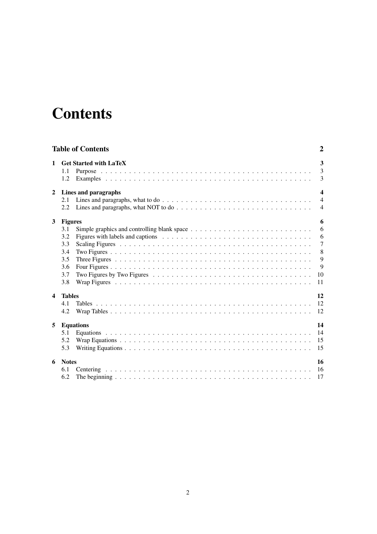# <span id="page-2-0"></span>**Contents**

|                       | <b>Table of Contents</b><br>2                                                                                                                                                             |                                                           |  |  |  |
|-----------------------|-------------------------------------------------------------------------------------------------------------------------------------------------------------------------------------------|-----------------------------------------------------------|--|--|--|
| $\mathbf{1}$          | <b>Get Started with LaTeX</b><br>1.1<br>1.2                                                                                                                                               | 3<br>3<br>3                                               |  |  |  |
| $\mathbf{2}$          | Lines and paragraphs<br>2.1<br>2.2                                                                                                                                                        | $\boldsymbol{4}$<br>$\overline{4}$<br>$\overline{4}$      |  |  |  |
| 3                     | <b>Figures</b><br>Simple graphics and controlling blank space $\dots \dots \dots \dots \dots \dots \dots \dots \dots \dots \dots$<br>3.1<br>3.2<br>3.3<br>3.4<br>3.5<br>3.6<br>3.7<br>3.8 | 6<br>6<br>6<br>$7\phantom{.0}$<br>8<br>9<br>9<br>10<br>11 |  |  |  |
| $\boldsymbol{4}$<br>5 | <b>Tables</b><br>4.1<br>4.2<br><b>Equations</b>                                                                                                                                           | 12<br>12<br>12<br>14                                      |  |  |  |
|                       | 5.1<br>5.2<br>5.3                                                                                                                                                                         | 14<br>15<br>15                                            |  |  |  |
| 6                     | <b>Notes</b><br>6.1<br>6.2                                                                                                                                                                | 16<br>16<br>17                                            |  |  |  |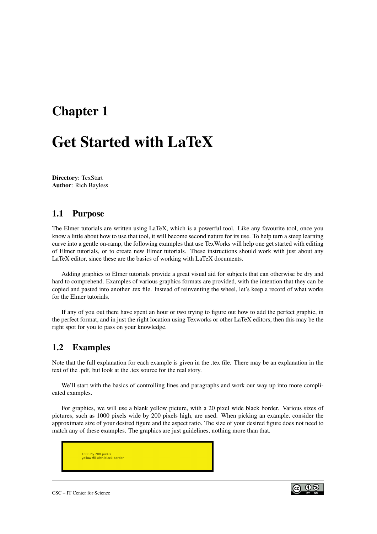# <span id="page-3-0"></span>Get Started with LaTeX

Directory: TexStart Author: Rich Bayless

### <span id="page-3-1"></span>1.1 Purpose

The Elmer tutorials are written using LaTeX, which is a powerful tool. Like any favourite tool, once you know a little about how to use that tool, it will become second nature for its use. To help turn a steep learning curve into a gentle on-ramp, the following examples that use TexWorks will help one get started with editing of Elmer tutorials, or to create new Elmer tutorials. These instructions should work with just about any LaTeX editor, since these are the basics of working with LaTeX documents.

Adding graphics to Elmer tutorials provide a great visual aid for subjects that can otherwise be dry and hard to comprehend. Examples of various graphics formats are provided, with the intention that they can be copied and pasted into another .tex file. Instead of reinventing the wheel, let's keep a record of what works for the Elmer tutorials.

If any of you out there have spent an hour or two trying to figure out how to add the perfect graphic, in the perfect format, and in just the right location using Texworks or other LaTeX editors, then this may be the right spot for you to pass on your knowledge.

### <span id="page-3-2"></span>1.2 Examples

Note that the full explanation for each example is given in the .tex file. There may be an explanation in the text of the .pdf, but look at the .tex source for the real story.

We'll start with the basics of controlling lines and paragraphs and work our way up into more complicated examples.

For graphics, we will use a blank yellow picture, with a 20 pixel wide black border. Various sizes of pictures, such as 1000 pixels wide by 200 pixels high, are used. When picking an example, consider the approximate size of your desired figure and the aspect ratio. The size of your desired figure does not need to match any of these examples. The graphics are just guidelines, nothing more than that.



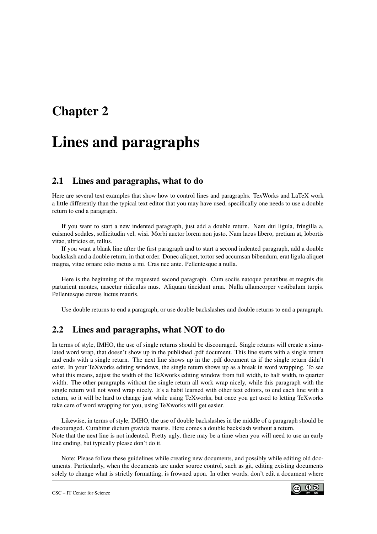# <span id="page-4-0"></span>Lines and paragraphs

## <span id="page-4-1"></span>2.1 Lines and paragraphs, what to do

Here are several text examples that show how to control lines and paragraphs. TexWorks and LaTeX work a little differently than the typical text editor that you may have used, specifically one needs to use a double return to end a paragraph.

If you want to start a new indented paragraph, just add a double return. Nam dui ligula, fringilla a, euismod sodales, sollicitudin vel, wisi. Morbi auctor lorem non justo. Nam lacus libero, pretium at, lobortis vitae, ultricies et, tellus.

If you want a blank line after the first paragraph and to start a second indented paragraph, add a double backslash and a double return, in that order. Donec aliquet, tortor sed accumsan bibendum, erat ligula aliquet magna, vitae ornare odio metus a mi. Cras nec ante. Pellentesque a nulla.

Here is the beginning of the requested second paragraph. Cum sociis natoque penatibus et magnis dis parturient montes, nascetur ridiculus mus. Aliquam tincidunt urna. Nulla ullamcorper vestibulum turpis. Pellentesque cursus luctus mauris.

Use double returns to end a paragraph, or use double backslashes and double returns to end a paragraph.

#### <span id="page-4-2"></span>2.2 Lines and paragraphs, what NOT to do

In terms of style, IMHO, the use of single returns should be discouraged. Single returns will create a simulated word wrap, that doesn't show up in the published .pdf document. This line starts with a single return and ends with a single return. The next line shows up in the .pdf document as if the single return didn't exist. In your TeXworks editing windows, the single return shows up as a break in word wrapping. To see what this means, adjust the width of the TeXworks editing window from full width, to half width, to quarter width. The other paragraphs without the single return all work wrap nicely, while this paragraph with the single return will not word wrap nicely. It's a habit learned with other text editors, to end each line with a return, so it will be hard to change just while using TeXworks, but once you get used to letting TeXworks take care of word wrapping for you, using TeXworks will get easier.

Likewise, in terms of style, IMHO, the use of double backslashes in the middle of a paragraph should be discouraged. Curabitur dictum gravida mauris. Here comes a double backslash without a return. Note that the next line is not indented. Pretty ugly, there may be a time when you will need to use an early line ending, but typically please don't do it.

Note: Please follow these guidelines while creating new documents, and possibly while editing old documents. Particularly, when the documents are under source control, such as git, editing existing documents solely to change what is strictly formatting, is frowned upon. In other words, don't edit a document where

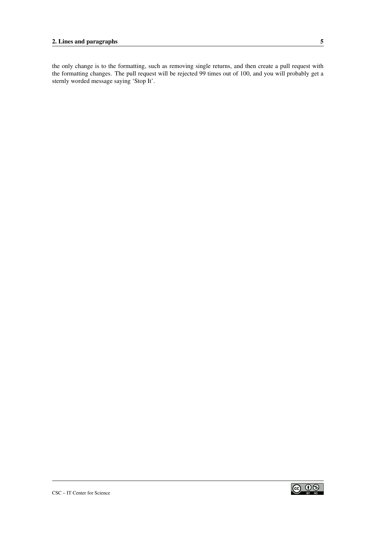the only change is to the formatting, such as removing single returns, and then create a pull request with the formatting changes. The pull request will be rejected 99 times out of 100, and you will probably get a sternly worded message saying 'Stop It'.

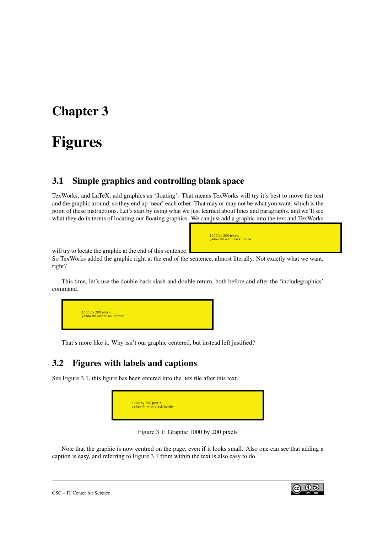# <span id="page-6-0"></span>Figures

## <span id="page-6-1"></span>3.1 Simple graphics and controlling blank space

TexWorks, and LaTeX, add graphics as 'floating'. That means TexWorks will try it's best to move the text and the graphic around, so they end up 'near' each other. That may or may not be what you want, which is the point of these instructions. Let's start by using what we just learned about lines and paragraphs, and we'll see what they do in terms of locating our floating graphics. We can just add a graphic into the text and TexWorks



So TexWorks added the graphic right at the end of the sentence, almost literally. Not exactly what we want, right?

1000 by 200 pixels<br>yellow fill with black border

This time, let's use the double back slash and double return, both before and after the 'includegraphics' command.



That's more like it. Why isn't our graphic centered, but instead left justified?

## <span id="page-6-2"></span>3.2 Figures with labels and captions

See Figure [3.1,](#page-6-3) this figure has been entered into the .tex file after this text.

<span id="page-6-3"></span>

Figure 3.1: Graphic 1000 by 200 pixels

Note that the graphic is now centred on the page, even if it looks small. Also one can see that adding a caption is easy, and referring to Figure [3.1](#page-6-3) from within the text is also easy to do.

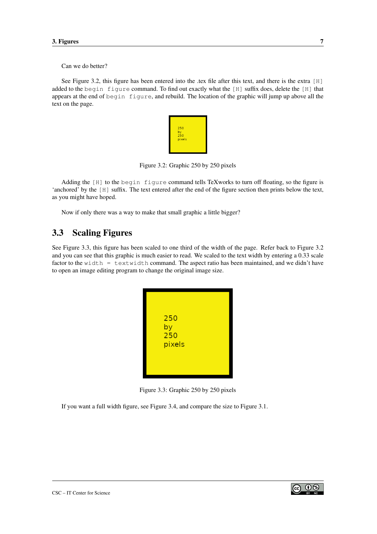Can we do better?

See Figure [3.2,](#page-7-1) this figure has been entered into the .tex file after this text, and there is the extra [H] added to the begin figure command. To find out exactly what the [H] suffix does, delete the [H] that appears at the end of begin figure, and rebuild. The location of the graphic will jump up above all the text on the page.

<span id="page-7-1"></span>

Figure 3.2: Graphic 250 by 250 pixels

Adding the [H] to the begin figure command tells TeXworks to turn off floating, so the figure is 'anchored' by the [H] suffix. The text entered after the end of the figure section then prints below the text, as you might have hoped.

Now if only there was a way to make that small graphic a little bigger?

### <span id="page-7-0"></span>3.3 Scaling Figures

See Figure [3.3,](#page-7-2) this figure has been scaled to one third of the width of the page. Refer back to Figure [3.2](#page-7-1) and you can see that this graphic is much easier to read. We scaled to the text width by entering a 0.33 scale factor to the width  $=$  textwidth command. The aspect ratio has been maintained, and we didn't have to open an image editing program to change the original image size.

| 250<br>by<br>250<br>pixels |  |
|----------------------------|--|
|----------------------------|--|

<span id="page-7-2"></span>Figure 3.3: Graphic 250 by 250 pixels

If you want a full width figure, see Figure [3.4,](#page-8-1) and compare the size to Figure [3.1.](#page-6-3)

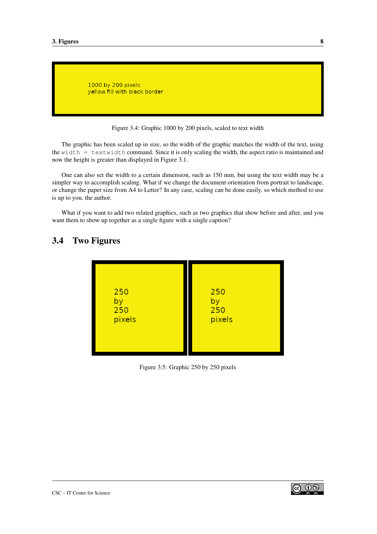

<span id="page-8-1"></span>Figure 3.4: Graphic 1000 by 200 pixels, scaled to text width

The graphic has been scaled up in size, so the width of the graphic matches the width of the text, using the width = textwidth command. Since it is only scaling the width, the aspect ratio is maintained and now the height is greater than displayed in Figure [3.1.](#page-6-3)

One can also set the width to a certain dimension, such as 150 mm, but using the text width may be a simpler way to accomplish scaling. What if we change the document orientation from portrait to landscape, or change the paper size from A4 to Letter? In any case, scaling can be done easily, so which method to use is up to you, the author.

What if you want to add two related graphics, such as two graphics that show before and after, and you want them to show up together as a single figure with a single caption?

## <span id="page-8-0"></span>3.4 Two Figures



Figure 3.5: Graphic 250 by 250 pixels

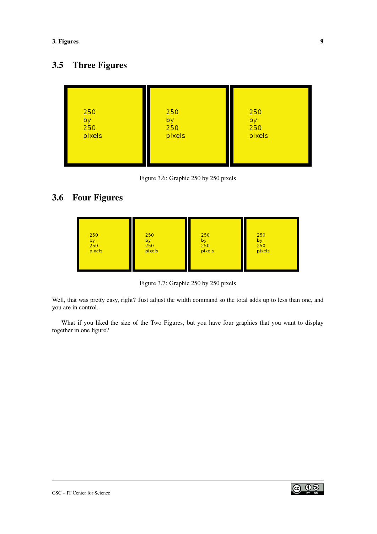## <span id="page-9-0"></span>3.5 Three Figures

| 250    | 250    | 250    |
|--------|--------|--------|
| by     | by     | by     |
| 250    | 250    | 250    |
| pixels | pixels | pixels |

Figure 3.6: Graphic 250 by 250 pixels

## <span id="page-9-1"></span>3.6 Four Figures

| 250<br>by<br>250<br>pixels | 250<br>$rac{by}{250}$<br>pixels | 250<br>$\frac{by}{250}$<br>pixels | 250<br>by<br>250<br>pixels |
|----------------------------|---------------------------------|-----------------------------------|----------------------------|
|----------------------------|---------------------------------|-----------------------------------|----------------------------|

Figure 3.7: Graphic 250 by 250 pixels

Well, that was pretty easy, right? Just adjust the width command so the total adds up to less than one, and you are in control.

What if you liked the size of the Two Figures, but you have four graphics that you want to display together in one figure?

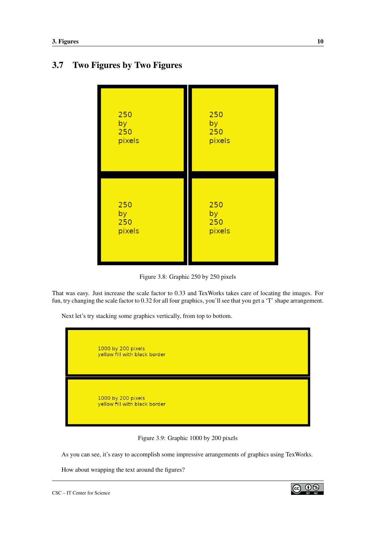## <span id="page-10-0"></span>3.7 Two Figures by Two Figures



Figure 3.8: Graphic 250 by 250 pixels

That was easy. Just increase the scale factor to 0.33 and TexWorks takes care of locating the images. For fun, try changing the scale factor to 0.32 for all four graphics, you'll see that you get a 'T' shape arrangement.

Next let's try stacking some graphics vertically, from top to bottom.



Figure 3.9: Graphic 1000 by 200 pixels

As you can see, it's easy to accomplish some impressive arrangements of graphics using TexWorks.

How about wrapping the text around the figures?

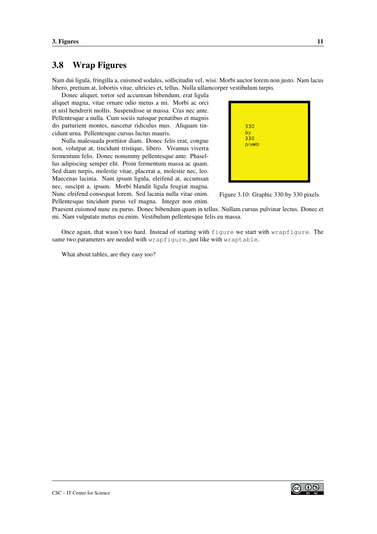### <span id="page-11-0"></span>3.8 Wrap Figures

Nam dui ligula, fringilla a, euismod sodales, sollicitudin vel, wisi. Morbi auctor lorem non justo. Nam lacus libero, pretium at, lobortis vitae, ultricies et, tellus. Nulla ullamcorper vestibulum turpis.

Donec aliquet, tortor sed accumsan bibendum, erat ligula aliquet magna, vitae ornare odio metus a mi. Morbi ac orci et nisl hendrerit mollis. Suspendisse ut massa. Cras nec ante. Pellentesque a nulla. Cum sociis natoque penatibus et magnis dis parturient montes, nascetur ridiculus mus. Aliquam tincidunt urna. Pellentesque cursus luctus mauris.

Nulla malesuada porttitor diam. Donec felis erat, congue non, volutpat at, tincidunt tristique, libero. Vivamus viverra fermentum felis. Donec nonummy pellentesque ante. Phasellus adipiscing semper elit. Proin fermentum massa ac quam. Sed diam turpis, molestie vitae, placerat a, molestie nec, leo. Maecenas lacinia. Nam ipsum ligula, eleifend at, accumsan nec, suscipit a, ipsum. Morbi blandit ligula feugiat magna. Nunc eleifend consequat lorem. Sed lacinia nulla vitae enim. Pellentesque tincidunt purus vel magna. Integer non enim.



Figure 3.10: Graphic 330 by 330 pixels

Praesent euismod nunc eu purus. Donec bibendum quam in tellus. Nullam cursus pulvinar lectus. Donec et mi. Nam vulputate metus eu enim. Vestibulum pellentesque felis eu massa.

Once again, that wasn't too hard. Instead of starting with figure we start with wrapfigure. The same two parameters are needed with wrapfigure, just like with wraptable.

What about tables, are they easy too?

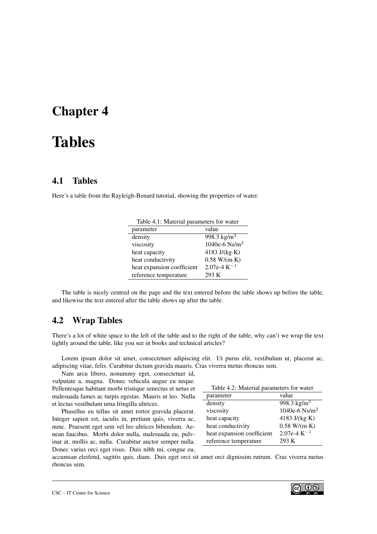# <span id="page-12-0"></span>Tables

### <span id="page-12-1"></span>4.1 Tables

Here's a table from the Rayleigh-Benard tutorial, showing the properties of water.

| Table 4.1: Material parameters for water |                         |  |  |
|------------------------------------------|-------------------------|--|--|
| parameter                                | value                   |  |  |
| density                                  | 998.3 kg/m <sup>3</sup> |  |  |
| viscosity                                | 1040e-6 $Ns/m^2$        |  |  |
| heat capacity                            | 4183 J/ $(kg \cdot K)$  |  |  |
| heat conductivity                        | $0.58 W/(m \cdot K)$    |  |  |
| heat expansion coefficient               | 2.07e-4 $K^{-1}$        |  |  |
| reference temperature                    | 293 K                   |  |  |

The table is nicely centred on the page and the text entered before the table shows up before the table, and likewise the text entered after the table shows up after the table.

### <span id="page-12-2"></span>4.2 Wrap Tables

There's a lot of white space to the left of the table and to the right of the table, why can't we wrap the text tightly around the table, like you see in books and technical articles?

Lorem ipsum dolor sit amet, consectetuer adipiscing elit. Ut purus elit, vestibulum ut, placerat ac, adipiscing vitae, felis. Curabitur dictum gravida mauris. Cras viverra metus rhoncus sem.

Nam arcu libero, nonummy eget, consectetuer id, vulputate a, magna. Donec vehicula augue eu neque. Pellentesque habitant morbi tristique senectus et netus et malesuada fames ac turpis egestas. Mauris ut leo. Nulla et lectus vestibulum urna fringilla ultrices.

Phasellus eu tellus sit amet tortor gravida placerat. Integer sapien est, iaculis in, pretium quis, viverra ac, nunc. Praesent eget sem vel leo ultrices bibendum. Aenean faucibus. Morbi dolor nulla, malesuada eu, pulvinar at, mollis ac, nulla. Curabitur auctor semper nulla. Donec varius orci eget risus. Duis nibh mi, congue eu,

| Table 4.2: Material parameters for water |                         |  |
|------------------------------------------|-------------------------|--|
| parameter                                | value                   |  |
| density                                  | 998.3 kg/m <sup>3</sup> |  |
| viscosity                                | 1040e-6 $Ns/m^2$        |  |
| heat capacity                            | 4183 $J/(kg·K)$         |  |
| heat conductivity                        | $0.58 W/(m \cdot K)$    |  |
| heat expansion coefficient               | 2.07e-4 $K^{-1}$        |  |
| reference temperature                    | 293 K                   |  |

accumsan eleifend, sagittis quis, diam. Duis eget orci sit amet orci dignissim rutrum. Cras viverra metus rhoncus sem.

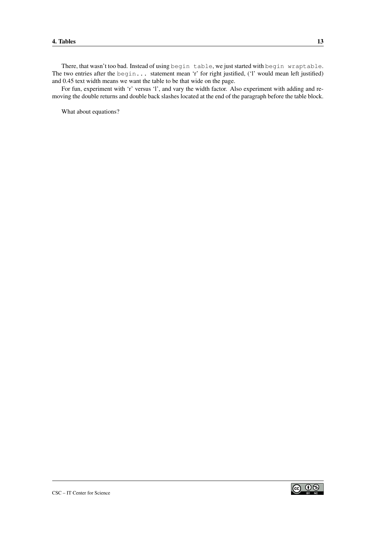There, that wasn't too bad. Instead of using begin table, we just started with begin wraptable. The two entries after the begin... statement mean 'r' for right justified, ('l' would mean left justified) and 0.45 text width means we want the table to be that wide on the page.

For fun, experiment with 'r' versus 'l', and vary the width factor. Also experiment with adding and removing the double returns and double back slashes located at the end of the paragraph before the table block.

What about equations?

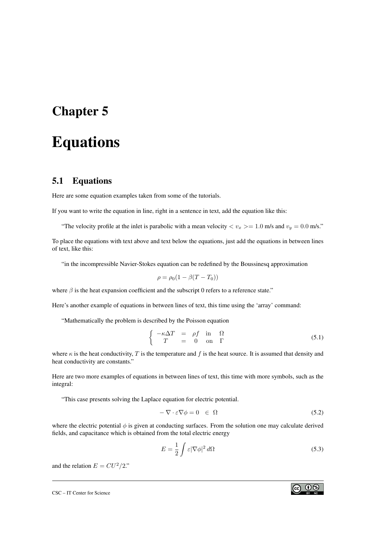# <span id="page-14-0"></span>Equations

### <span id="page-14-1"></span>5.1 Equations

Here are some equation examples taken from some of the tutorials.

If you want to write the equation in line, right in a sentence in text, add the equation like this:

"The velocity profile at the inlet is parabolic with a mean velocity  $\langle v_x \rangle = 1.0$  m/s and  $v_y = 0.0$  m/s."

To place the equations with text above and text below the equations, just add the equations in between lines of text, like this:

"in the incompressible Navier-Stokes equation can be redefined by the Boussinesq approximation

$$
\rho = \rho_0 (1 - \beta (T - T_0))
$$

where  $\beta$  is the heat expansion coefficient and the subscript 0 refers to a reference state."

Here's another example of equations in between lines of text, this time using the 'array' command:

"Mathematically the problem is described by the Poisson equation

$$
\begin{cases}\n-\kappa \Delta T = \rho f & \text{in} \quad \Omega \\
T = 0 & \text{on} \quad \Gamma\n\end{cases}
$$
\n(5.1)

where  $\kappa$  is the heat conductivity, T is the temperature and f is the heat source. It is assumed that density and heat conductivity are constants."

Here are two more examples of equations in between lines of text, this time with more symbols, such as the integral:

"This case presents solving the Laplace equation for electric potential.

$$
-\nabla \cdot \varepsilon \nabla \phi = 0 \quad \in \quad \Omega \tag{5.2}
$$

where the electric potential  $\phi$  is given at conducting surfaces. From the solution one may calculate derived fields, and capacitance which is obtained from the total electric energy

$$
E = \frac{1}{2} \int \varepsilon |\nabla \phi|^2 d\Omega \tag{5.3}
$$

and the relation  $E = CU^2/2$ ."

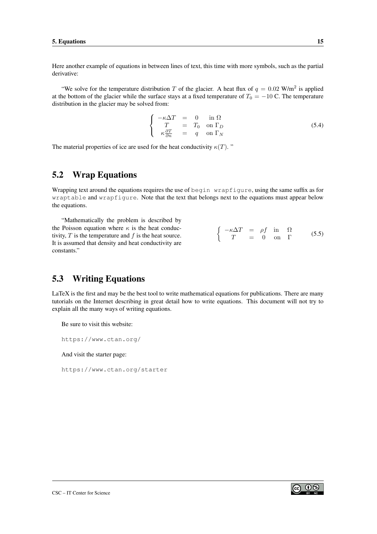Here another example of equations in between lines of text, this time with more symbols, such as the partial derivative:

"We solve for the temperature distribution T of the glacier. A heat flux of  $q = 0.02$  W/m<sup>2</sup> is applied at the bottom of the glacier while the surface stays at a fixed temperature of  $T_0 = -10$  C. The temperature distribution in the glacier may be solved from:

$$
\begin{cases}\n-\kappa \Delta T = 0 & \text{in } \Omega \\
T = T_0 & \text{on } \Gamma_D \\
\kappa \frac{\partial T}{\partial n} = q & \text{on } \Gamma_N\n\end{cases}
$$
\n(5.4)

The material properties of ice are used for the heat conductivity  $\kappa(T)$ . "

## <span id="page-15-0"></span>5.2 Wrap Equations

Wrapping text around the equations requires the use of begin wrapfigure, using the same suffix as for wraptable and wrapfigure. Note that the text that belongs next to the equations must appear below the equations.

"Mathematically the problem is described by the Poisson equation where  $\kappa$  is the heat conductivity,  $T$  is the temperature and  $f$  is the heat source. It is assumed that density and heat conductivity are constants."

$$
\begin{cases}\n-\kappa \Delta T = \rho f & \text{in} \quad \Omega \\
T = 0 & \text{on} \quad \Gamma\n\end{cases}
$$
\n(5.5)

## <span id="page-15-1"></span>5.3 Writing Equations

LaTeX is the first and may be the best tool to write mathematical equations for publications. There are many tutorials on the Internet describing in great detail how to write equations. This document will not try to explain all the many ways of writing equations.

Be sure to visit this website:

```
https://www.ctan.org/
```
And visit the starter page:

<https://www.ctan.org/starter>

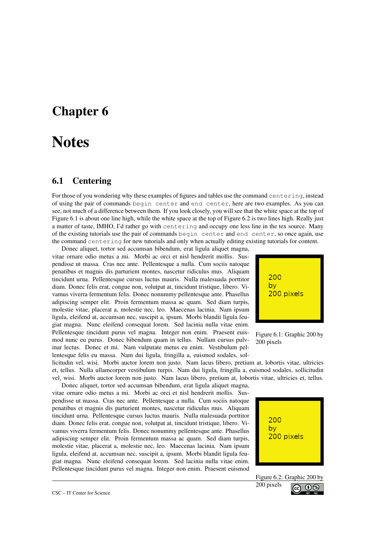## <span id="page-16-0"></span>**Notes**

#### <span id="page-16-1"></span>6.1 Centering

For those of you wondering why these examples of figures and tables use the command centering, instead of using the pair of commands begin center and end center, here are two examples. As you can see, not much of a difference between them. If you look closely, you will see that the white space at the top of Figure [6.1](#page-16-2) is about one line high, while the white space at the top of Figure [6.2](#page-16-3) is two lines high. Really just a matter of taste, IMHO, I'd rather go with centering and occupy one less line in the tex source. Many of the existing tutorials use the pair of commands begin center and end center, so once again, use the command centering for new tutorials and only when actually editing existing tutorials for content.

Donec aliquet, tortor sed accumsan bibendum, erat ligula aliquet magna, vitae ornare odio metus a mi. Morbi ac orci et nisl hendrerit mollis. Suspendisse ut massa. Cras nec ante. Pellentesque a nulla. Cum sociis natoque penatibus et magnis dis parturient montes, nascetur ridiculus mus. Aliquam tincidunt urna. Pellentesque cursus luctus mauris. Nulla malesuada porttitor diam. Donec felis erat, congue non, volutpat at, tincidunt tristique, libero. Vivamus viverra fermentum felis. Donec nonummy pellentesque ante. Phasellus adipiscing semper elit. Proin fermentum massa ac quam. Sed diam turpis, molestie vitae, placerat a, molestie nec, leo. Maecenas lacinia. Nam ipsum ligula, eleifend at, accumsan nec, suscipit a, ipsum. Morbi blandit ligula feugiat magna. Nunc eleifend consequat lorem. Sed lacinia nulla vitae enim. Pellentesque tincidunt purus vel magna. Integer non enim. Praesent euismod nunc eu purus. Donec bibendum quam in tellus. Nullam cursus pulvinar lectus. Donec et mi. Nam vulputate metus eu enim. Vestibulum pellentesque felis eu massa. Nam dui ligula, fringilla a, euismod sodales, sol-



Figure 6.1: Graphic 200 by 200 pixels

licitudin vel, wisi. Morbi auctor lorem non justo. Nam lacus libero, pretium at, lobortis vitae, ultricies et, tellus. Nulla ullamcorper vestibulum turpis. Nam dui ligula, fringilla a, euismod sodales, sollicitudin vel, wisi. Morbi auctor lorem non justo. Nam lacus libero, pretium at, lobortis vitae, ultricies et, tellus. Donec aliquet, tortor sed accumsan bibendum, erat ligula aliquet magna,

vitae ornare odio metus a mi. Morbi ac orci et nisl hendrerit mollis. Suspendisse ut massa. Cras nec ante. Pellentesque a nulla. Cum sociis natoque penatibus et magnis dis parturient montes, nascetur ridiculus mus. Aliquam tincidunt urna. Pellentesque cursus luctus mauris. Nulla malesuada porttitor diam. Donec felis erat, congue non, volutpat at, tincidunt tristique, libero. Vivamus viverra fermentum felis. Donec nonummy pellentesque ante. Phasellus adipiscing semper elit. Proin fermentum massa ac quam. Sed diam turpis, molestie vitae, placerat a, molestie nec, leo. Maecenas lacinia. Nam ipsum ligula, eleifend at, accumsan nec, suscipit a, ipsum. Morbi blandit ligula feugiat magna. Nunc eleifend consequat lorem. Sed lacinia nulla vitae enim. Pellentesque tincidunt purus vel magna. Integer non enim. Praesent euismod

<span id="page-16-2"></span>

<span id="page-16-3"></span>Figure 6.2: Graphic 200 by 200 pixels